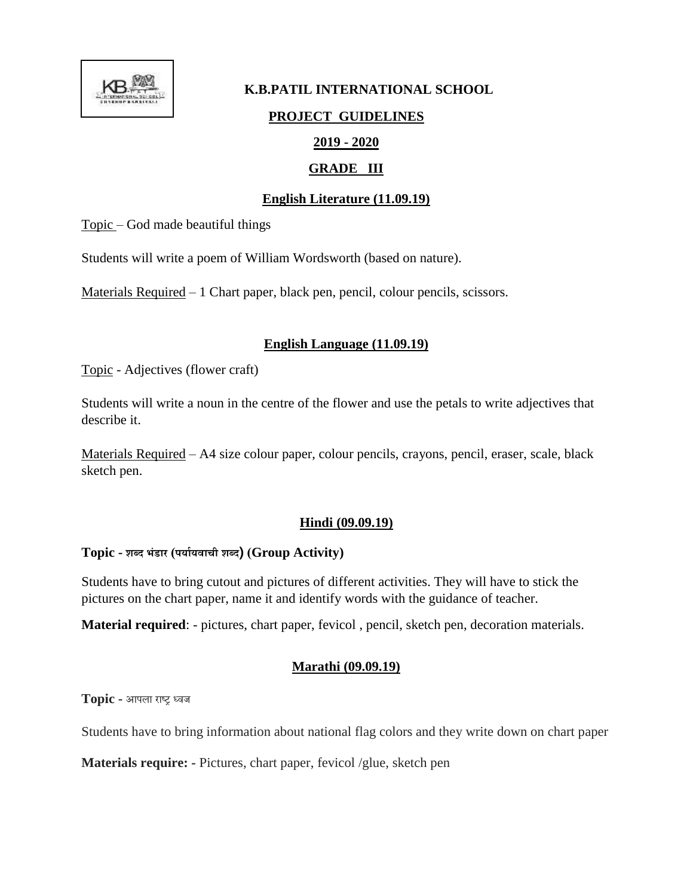

# **K.B.PATIL INTERNATIONAL SCHOOL PROJECT GUIDELINES 2019 - 2020**

# **GRADE III**

# **English Literature (11.09.19)**

Topic – God made beautiful things

Students will write a poem of William Wordsworth (based on nature).

Materials Required – 1 Chart paper, black pen, pencil, colour pencils, scissors.

# **English Language (11.09.19)**

Topic - Adjectives (flower craft)

Students will write a noun in the centre of the flower and use the petals to write adjectives that describe it.

Materials Required – A4 size colour paper, colour pencils, crayons, pencil, eraser, scale, black sketch pen.

# **Hindi (09.09.19)**

# **Topic - शब्द भंडार (पर्ाार्वाची शब्द) (Group Activity)**

Students have to bring cutout and pictures of different activities. They will have to stick the pictures on the chart paper, name it and identify words with the guidance of teacher.

**Material required**: - pictures, chart paper, fevicol , pencil, sketch pen, decoration materials.

# **Marathi (09.09.19)**

**Topic -** आपला राष्ट्र ध्वज

Students have to bring information about national flag colors and they write down on chart paper

**Materials require: -** Pictures, chart paper, fevicol /glue, sketch pen